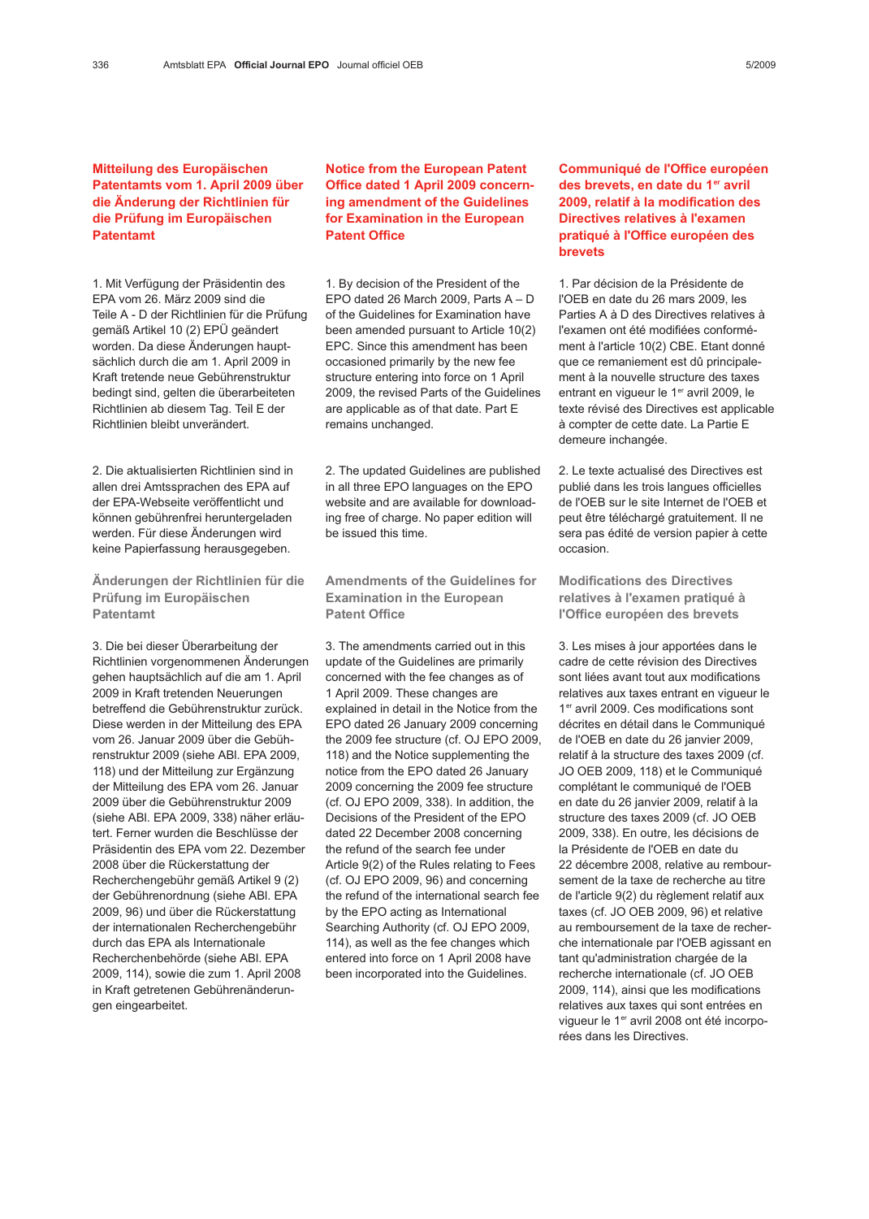1. Mit Verfügung der Präsidentin des EPA vom 26. März 2009 sind die Teile A - D der Richtlinien für die Prüfung gemäß Artikel 10 (2) EPÜ geändert worden. Da diese Änderungen hauptsächlich durch die am 1. April 2009 in Kraft tretende neue Gebührenstruktur bedingt sind, gelten die überarbeiteten Richtlinien ab diesem Tag. Teil E der Richtlinien bleibt unverändert.

2. Die aktualisierten Richtlinien sind in allen drei Amtssprachen des EPA auf der EPA-Webseite veröffentlicht und können gebührenfrei heruntergeladen werden. Für diese Änderungen wird keine Papierfassung herausgegeben.

Änderungen der Richtlinien für die Prüfung im Europäischen Patentamt

3. Die bei dieser Überarbeitung der Richtlinien vorgenommenen Änderungen gehen hauptsächlich auf die am 1. April 2009 in Kraft tretenden Neuerungen betreffend die Gebührenstruktur zurück. Diese werden in der Mitteilung des EPA vom 26. Januar 2009 über die Gebührenstruktur 2009 (siehe ABl. EPA 2009, 118) und der Mitteilung zur Ergänzung der Mitteilung des EPA vom 26. Januar 2009 über die Gebührenstruktur 2009 (siehe ABl. EPA 2009, 338) näher erläutert. Ferner wurden die Beschlüsse der Präsidentin des EPA vom 22. Dezember 2008 über die Rückerstattung der Recherchengebühr gemäß Artikel 9 (2) der Gebührenordnung (siehe ABl. EPA 2009, 96) und über die Rückerstattung der internationalen Recherchengebühr durch das EPA als Internationale Recherchenbehörde (siehe ABl. EPA 2009, 114), sowie die zum 1. April 2008 in Kraft getretenen Gebührenänderungen eingearbeitet.

Notice from the European Patent Office dated 1 April 2009 concerning amendment of the Guidelines for Examination in the European Patent Office

1. By decision of the President of the EPO dated 26 March 2009, Parts A – D of the Guidelines for Examination have been amended pursuant to Article 10(2) EPC. Since this amendment has been occasioned primarily by the new fee structure entering into force on 1 April 2009, the revised Parts of the Guidelines are applicable as of that date. Part E remains unchanged.

2. The updated Guidelines are published in all three EPO languages on the EPO website and are available for downloading free of charge. No paper edition will be issued this time.

Amendments of the Guidelines for Examination in the European Patent Office

3. The amendments carried out in this update of the Guidelines are primarily concerned with the fee changes as of 1 April 2009. These changes are explained in detail in the Notice from the EPO dated 26 January 2009 concerning the 2009 fee structure (cf. OJ EPO 2009, 118) and the Notice supplementing the notice from the EPO dated 26 January 2009 concerning the 2009 fee structure (cf. OJ EPO 2009, 338). In addition, the Decisions of the President of the EPO dated 22 December 2008 concerning the refund of the search fee under Article 9(2) of the Rules relating to Fees (cf. OJ EPO 2009, 96) and concerning the refund of the international search fee by the EPO acting as International Searching Authority (cf. OJ EPO 2009, 114), as well as the fee changes which entered into force on 1 April 2008 have been incorporated into the Guidelines.

## Communiqué de l'Office européen des brevets, en date du 1<sup>er</sup> avril 2009, relatif à la modification des Directives relatives à l'examen pratiqué à l'Office européen des brevets

1. Par décision de la Présidente de l'OEB en date du 26 mars 2009, les Parties A à D des Directives relatives à l'examen ont été modifiées conformément à l'article 10(2) CBE. Etant donné que ce remaniement est dû principalement à la nouvelle structure des taxes entrant en vigueur le 1<sup>er</sup> avril 2009, le texte révisé des Directives est applicable à compter de cette date. La Partie E demeure inchangée.

2. Le texte actualisé des Directives est publié dans les trois langues officielles de l'OEB sur le site Internet de l'OEB et peut être téléchargé gratuitement. Il ne sera pas édité de version papier à cette occasion.

Modifications des Directives relatives à l'examen pratiqué à l'Office européen des brevets

3. Les mises à jour apportées dans le cadre de cette révision des Directives sont liées avant tout aux modifications relatives aux taxes entrant en vigueur le 1er avril 2009. Ces modifications sont décrites en détail dans le Communiqué de l'OEB en date du 26 janvier 2009, relatif à la structure des taxes 2009 (cf. JO OEB 2009, 118) et le Communiqué complétant le communiqué de l'OEB en date du 26 janvier 2009, relatif à la structure des taxes 2009 (cf. JO OEB 2009, 338). En outre, les décisions de la Présidente de l'OEB en date du 22 décembre 2008, relative au remboursement de la taxe de recherche au titre de l'article 9(2) du règlement relatif aux taxes (cf. JO OEB 2009, 96) et relative au remboursement de la taxe de recherche internationale par l'OEB agissant en tant qu'administration chargée de la recherche internationale (cf. JO OEB 2009, 114), ainsi que les modifications relatives aux taxes qui sont entrées en vigueur le 1<sup>er</sup> avril 2008 ont été incorporées dans les Directives.